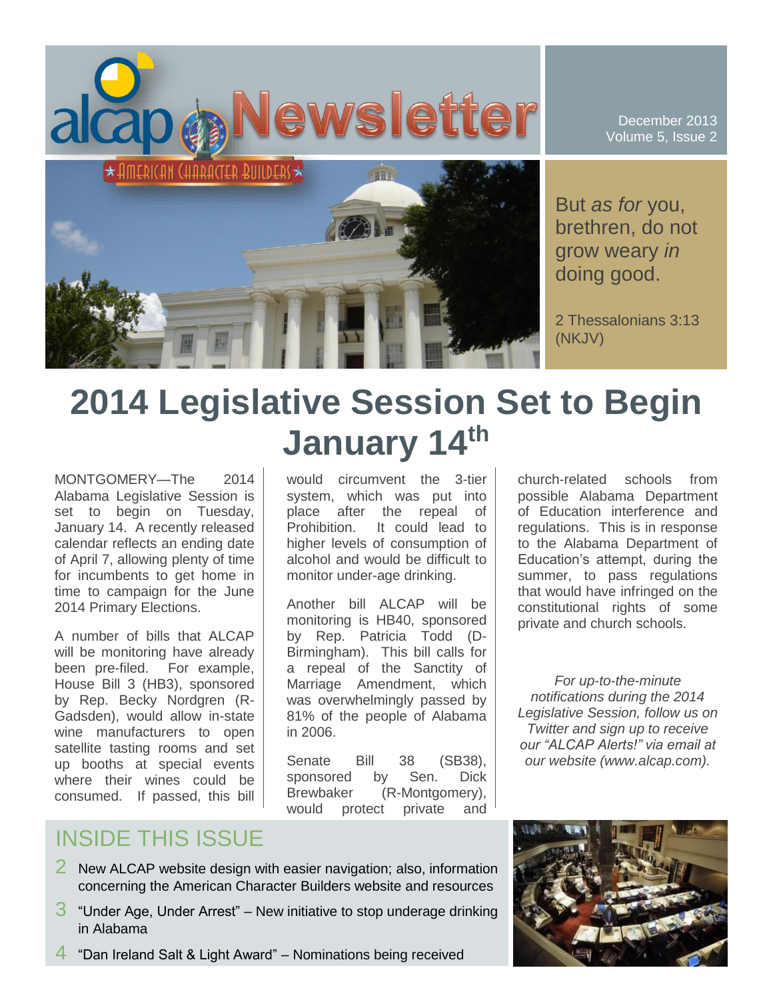

December 2013 Volume 5, Issue 2

But *as for* you, brethren, do not grow weary *in* doing good.

2 Thessalonians 3:13 (NKJV)

# **2014 Legislative Session Set to Begin January 14th**

MONTGOMERY—The 2014 Alabama Legislative Session is set to begin on Tuesday, January 14. A recently released calendar reflects an ending date of April 7, allowing plenty of time for incumbents to get home in time to campaign for the June 2014 Primary Elections.

A number of bills that ALCAP will be monitoring have already been pre-filed. For example, House Bill 3 (HB3), sponsored by Rep. Becky Nordgren (R-Gadsden), would allow in-state wine manufacturers to open satellite tasting rooms and set up booths at special events where their wines could be consumed. If passed, this bill would circumvent the 3-tier system, which was put into place after the repeal of Prohibition. It could lead to higher levels of consumption of alcohol and would be difficult to monitor under-age drinking.

Another bill ALCAP will be monitoring is HB40, sponsored by Rep. Patricia Todd (D-Birmingham). This bill calls for a repeal of the Sanctity of Marriage Amendment, which was overwhelmingly passed by 81% of the people of Alabama in 2006.

Senate Bill 38 (SB38). sponsored by Sen. Dick Brewbaker (R-Montgomery), would protect private and church-related schools from possible Alabama Department of Education interference and regulations. This is in response to the Alabama Department of Education's attempt, during the summer, to pass regulations that would have infringed on the constitutional rights of some private and church schools.

*For up-to-the-minute notifications during the 2014 Legislative Session, follow us on Twitter and sign up to receive our "ALCAP Alerts!" via email at our website (www.alcap.com).*

# INSIDE THIS ISSUE

- 2 New ALCAP website design with easier navigation; also, information concerning the American Character Builders website and resources
- $3$  "Under Age, Under Arrest" New initiative to stop underage drinking in Alabama
- 4 "Dan Ireland Salt & Light Award" Nominations being received

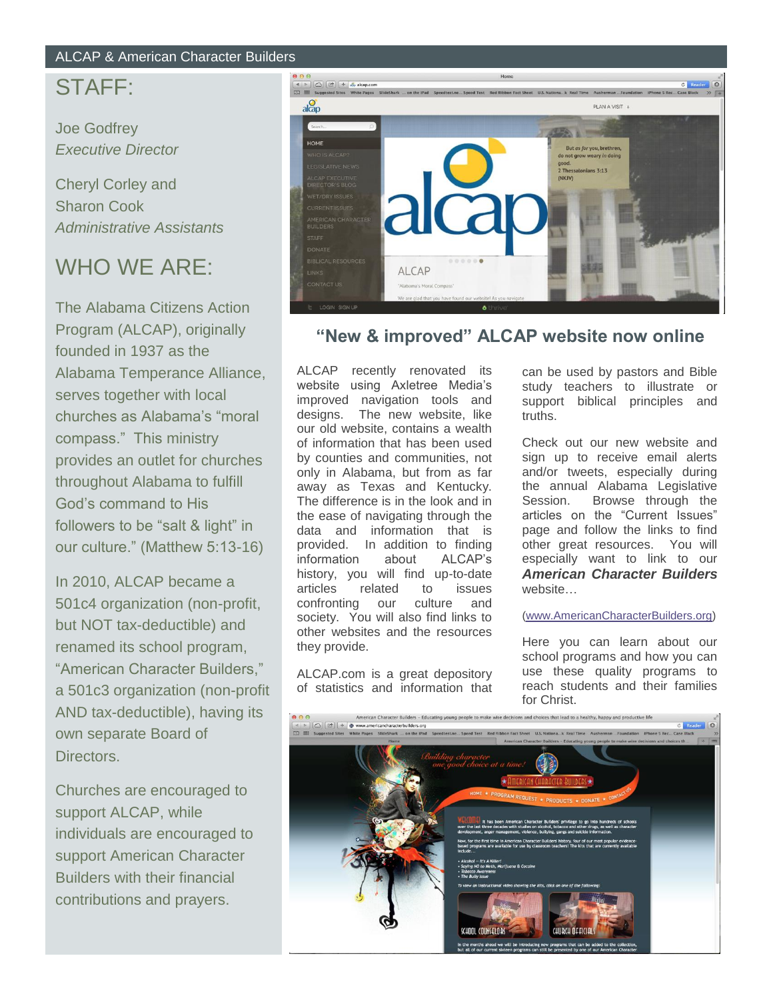## ALCAP & American Character Builders

## STAFF:

Joe Godfrey *Executive Director*

Cheryl Corley and Sharon Cook *Administrative Assistants*

# WHO WE ARE:

The Alabama Citizens Action Program (ALCAP), originally founded in 1937 as the Alabama Temperance Alliance, serves together with local churches as Alabama's "moral compass." This ministry provides an outlet for churches throughout Alabama to fulfill God's command to His followers to be "salt & light" in our culture." (Matthew 5:13-16)

In 2010, ALCAP became a 501c4 organization (non-profit, but NOT tax-deductible) and renamed its school program, "American Character Builders," a 501c3 organization (non-profit AND tax-deductible), having its own separate Board of Directors.

Churches are encouraged to support ALCAP, while individuals are encouraged to support American Character Builders with their financial contributions and prayers.



## **"New & improved" ALCAP website now online**

ALCAP recently renovated its website using Axletree Media's improved navigation tools and designs. The new website, like our old website, contains a wealth of information that has been used by counties and communities, not only in Alabama, but from as far away as Texas and Kentucky. The difference is in the look and in the ease of navigating through the data and information that is provided. In addition to finding information about ALCAP's history, you will find up-to-date articles related to issues confronting our culture and society. You will also find links to other websites and the resources they provide.

ALCAP.com is a great depository of statistics and information that

can be used by pastors and Bible study teachers to illustrate or support biblical principles and truths.

Check out our new website and sign up to receive email alerts and/or tweets, especially during the annual Alabama Legislative Session. Browse through the articles on the "Current Issues" page and follow the links to find other great resources. You will especially want to link to our *American Character Builders* website…

#### [\(www.AmericanCharacterBuilders.org\)](http://www.americancharacterbuilders.org/)

Here you can learn about our school programs and how you can use these quality programs to reach students and their families for Christ.

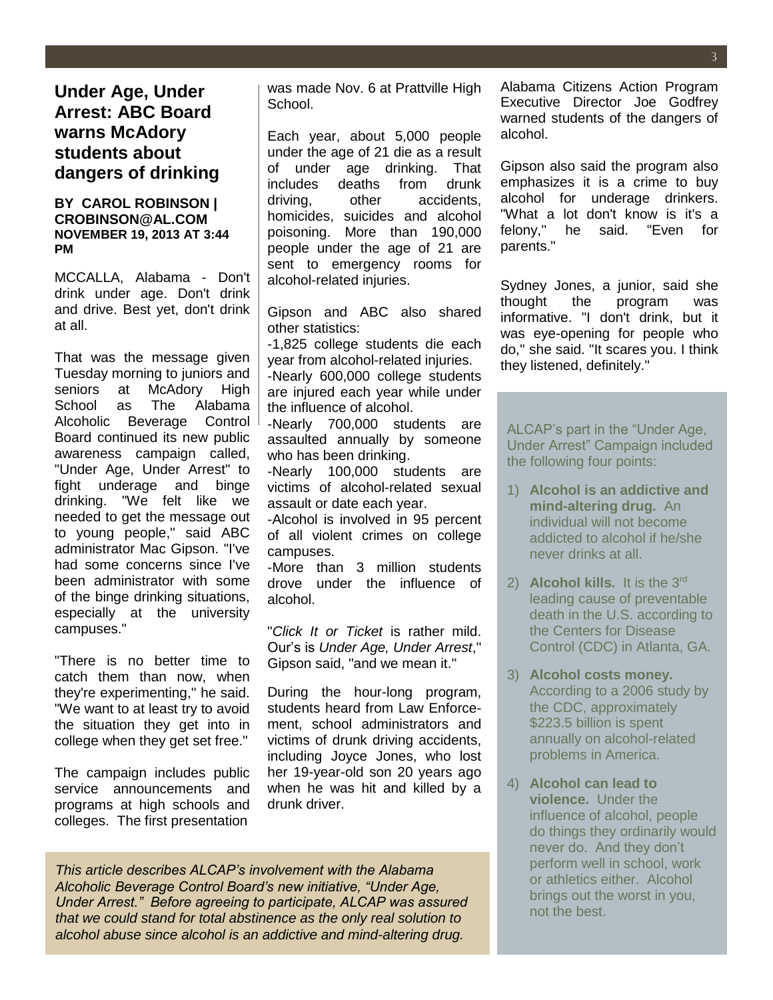### **BY CAROL ROBINSON | CROBINSON@AL.COM NOVEMBER 19, 2013 AT 3:44 PM**

MCCALLA, Alabama - Don't drink under age. Don't drink and drive. Best yet, don't drink at all.

That was the message given Tuesday morning to juniors and seniors at McAdory High School as The Alabama Alcoholic Beverage Control Board continued its new public awareness campaign called, "Under Age, Under Arrest" to fight underage and binge drinking. "We felt like we needed to get the message out to young people,'' said ABC administrator Mac Gipson. "I've had some concerns since I've been administrator with some of the binge drinking situations, especially at the university campuses."

"There is no better time to catch them than now, when they're experimenting,'' he said. "We want to at least try to avoid the situation they get into in college when they get set free."

The campaign includes public service announcements and programs at high schools and colleges. The first presentation

was made Nov. 6 at Prattville High School.

Each year, about 5,000 people under the age of 21 die as a result of under age drinking. That includes deaths from drunk driving, other accidents, homicides, suicides and alcohol poisoning. More than 190,000 people under the age of 21 are sent to emergency rooms for alcohol-related injuries.

Gipson and ABC also shared other statistics:

-1,825 college students die each year from alcohol-related injuries.

-Nearly 600,000 college students are injured each year while under the influence of alcohol.

-Nearly 700,000 students are assaulted annually by someone who has been drinking.

-Nearly 100,000 students are victims of alcohol-related sexual assault or date each year.

-Alcohol is involved in 95 percent of all violent crimes on college campuses.

-More than 3 million students drove under the influence of alcohol.

"*Click It or Ticket* is rather mild. Our's is *Under Age, Under Arrest*,'' Gipson said, "and we mean it.''

During the hour-long program, students heard from Law Enforcement, school administrators and victims of drunk driving accidents, including Joyce Jones, who lost her 19-year-old son 20 years ago when he was hit and killed by a drunk driver.

*This article describes ALCAP's involvement with the Alabama Alcoholic Beverage Control Board's new initiative, "Under Age, Under Arrest." Before agreeing to participate, ALCAP was assured that we could stand for total abstinence as the only real solution to alcohol abuse since alcohol is an addictive and mind-altering drug.*

Alabama Citizens Action Program Executive Director Joe Godfrey warned students of the dangers of alcohol.

Gipson also said the program also emphasizes it is a crime to buy alcohol for underage drinkers. "What a lot don't know is it's a felony,'' he said. "Even for parents."

Sydney Jones, a junior, said she thought the program was informative. "I don't drink, but it was eye-opening for people who do,'' she said. "It scares you. I think they listened, definitely."

ALCAP's part in the "Under Age, Under Arrest" Campaign included the following four points:

- 1) **Alcohol is an addictive and mind-altering drug.** An individual will not become addicted to alcohol if he/she never drinks at all.
- 2) **Alcohol kills.** It is the 3<sup>rd</sup> leading cause of preventable death in the U.S. according to the Centers for Disease Control (CDC) in Atlanta, GA.
- 3) **Alcohol costs money.** According to a 2006 study by the CDC, approximately \$223.5 billion is spent annually on alcohol-related problems in America.
- 4) **Alcohol can lead to violence.** Under the influence of alcohol, people do things they ordinarily would never do. And they don't perform well in school, work or athletics either. Alcohol brings out the worst in you, not the best.